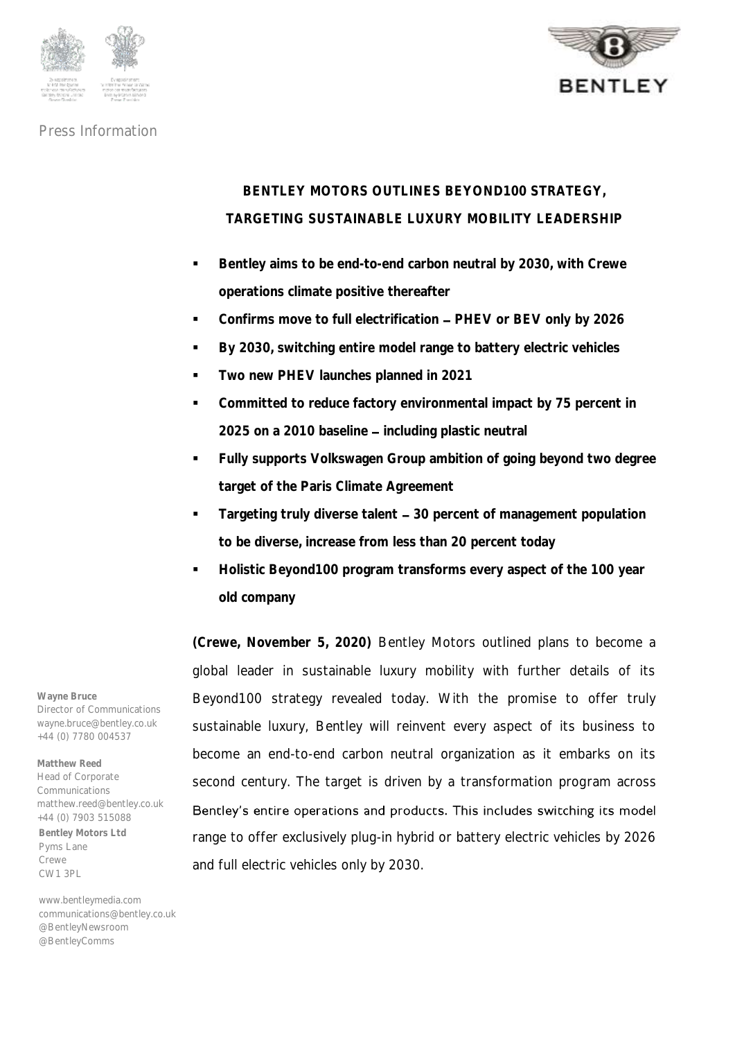



# **BENTLEY MOTORS OUTLINES BEYOND100 STRATEGY, TARGETING SUSTAINABLE LUXURY MOBILITY LEADERSHIP**

- **Bentley aims to be end-to-end carbon neutral by 2030, with Crewe operations climate positive thereafter**
- Confirms move to full electrification PHEV or BEV only by 2026
- **By 2030, switching entire model range to battery electric vehicles**
- **Two new PHEV launches planned in 2021**
- **Committed to reduce factory environmental impact by 75 percent in**  2025 on a 2010 baseline - including plastic neutral
- **Fully supports Volkswagen Group ambition of going beyond two degree target of the Paris Climate Agreement**
- **Targeting truly diverse talent 30 percent of management population to be diverse, increase from less than 20 percent today**
- **Holistic Beyond100 program transforms every aspect of the 100 year old company**

**(Crewe, November 5, 2020)** Bentley Motors outlined plans to become a global leader in sustainable luxury mobility with further details of its Beyond100 strategy revealed today. With the promise to offer truly sustainable luxury, Bentley will reinvent every aspect of its business to become an end-to-end carbon neutral organization as it embarks on its second century. The target is driven by a transformation program across Bentley's entire operations and products. This includes switching its model range to offer exclusively plug-in hybrid or battery electric vehicles by 2026 and full electric vehicles only by 2030.

**Wayne Bruce** Director of Communications wayne.bruce@bentley.co.uk +44 (0) 7780 004537

**Bentley Motors Ltd** Pyms Lane Crewe CW1 3PL **Matthew Reed** Head of Corporate Communications matthew.reed@bentley.co.uk +44 (0) 7903 515088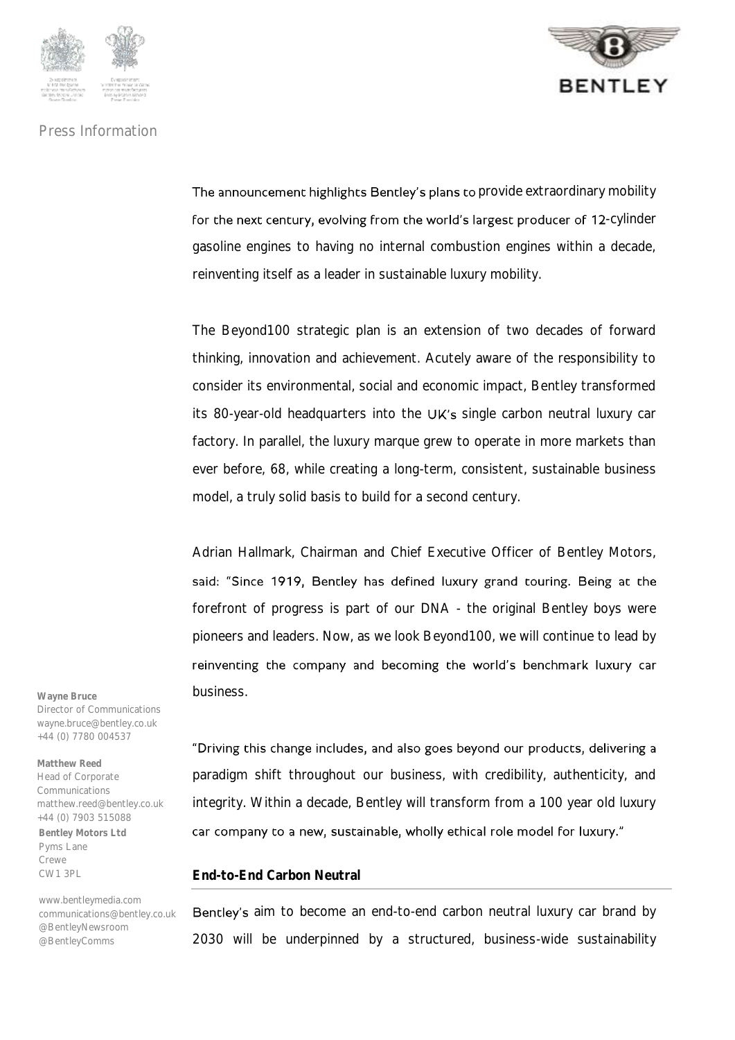



The announcement highlights Bentley's plans to provide extraordinary mobility for the next century, evolving from the world's largest producer of 12-cylinder gasoline engines to having no internal combustion engines within a decade, reinventing itself as a leader in sustainable luxury mobility.

The Beyond100 strategic plan is an extension of two decades of forward thinking, innovation and achievement. Acutely aware of the responsibility to consider its environmental, social and economic impact, Bentley transformed its 80-year-old headquarters into the UK's single carbon neutral luxury car factory. In parallel, the luxury marque grew to operate in more markets than ever before, 68, while creating a long-term, consistent, sustainable business model, a truly solid basis to build for a second century.

Adrian Hallmark, Chairman and Chief Executive Officer of Bentley Motors, said: "Since 1919, Bentley has defined luxury grand touring. Being at the forefront of progress is part of our DNA - the original Bentley boys were pioneers and leaders. Now, as we look Beyond100, we will continue to lead by reinventing the company and becoming the world's benchmark luxury car business.

"Driving this change includes, and also goes beyond our products, delivering a paradigm shift throughout our business, with credibility, authenticity, and integrity. Within a decade, Bentley will transform from a 100 year old luxury car company to a new, sustainable, wholly ethical role model for luxury."

#### **End-to-End Carbon Neutral**

Bentley's aim to become an end-to-end carbon neutral luxury car brand by 2030 will be underpinned by a structured, business-wide sustainability

**Wayne Bruce** Director of Communications wayne.bruce@bentley.co.uk +44 (0) 7780 004537

**Bentley Motors Ltd** Pyms Lane Crewe CW1 3PL **Matthew Reed** Head of Corporate **Communications** matthew.reed@bentley.co.uk +44 (0) 7903 515088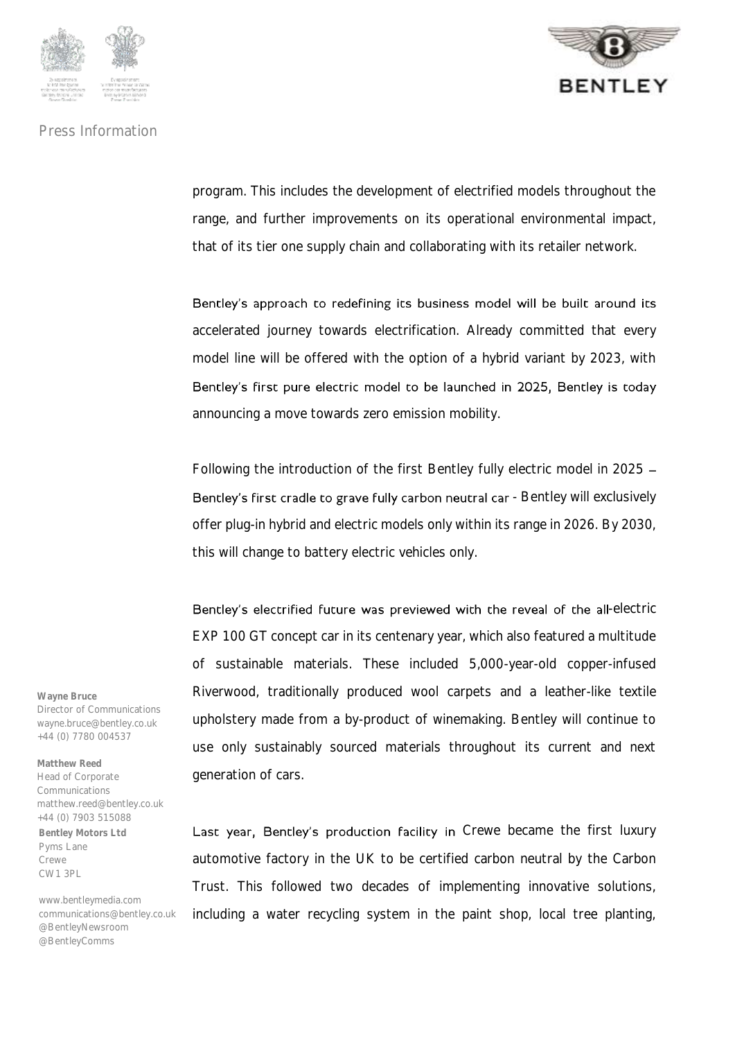



program. This includes the development of electrified models throughout the range, and further improvements on its operational environmental impact, that of its tier one supply chain and collaborating with its retailer network.

Bentley's approach to redefining its business model will be built around its accelerated journey towards electrification. Already committed that every model line will be offered with the option of a hybrid variant by 2023, with Bentley's first pure electric model to be launched in 2025, Bentley is today announcing a move towards zero emission mobility.

Following the introduction of the first Bentley fully electric model in 2025 Bentley's first cradle to grave fully carbon neutral car - Bentley will exclusively offer plug-in hybrid and electric models only within its range in 2026. By 2030, this will change to battery electric vehicles only.

Bentley's electrified future was previewed with the reveal of the all-electric EXP 100 GT concept car in its centenary year, which also featured a multitude of sustainable materials. These included 5,000-year-old copper-infused Riverwood, traditionally produced wool carpets and a leather-like textile upholstery made from a by-product of winemaking. Bentley will continue to use only sustainably sourced materials throughout its current and next generation of cars.

Last year, Bentley's production facility in Crewe became the first luxury automotive factory in the UK to be certified carbon neutral by the Carbon Trust. This followed two decades of implementing innovative solutions, including a water recycling system in the paint shop, local tree planting,

**Wayne Bruce** Director of Communications wayne.bruce@bentley.co.uk +44 (0) 7780 004537

**Bentley Motors Ltd** Pyms Lane Crewe CW1 3PL **Matthew Reed** Head of Corporate **Communications** matthew.reed@bentley.co.uk +44 (0) 7903 515088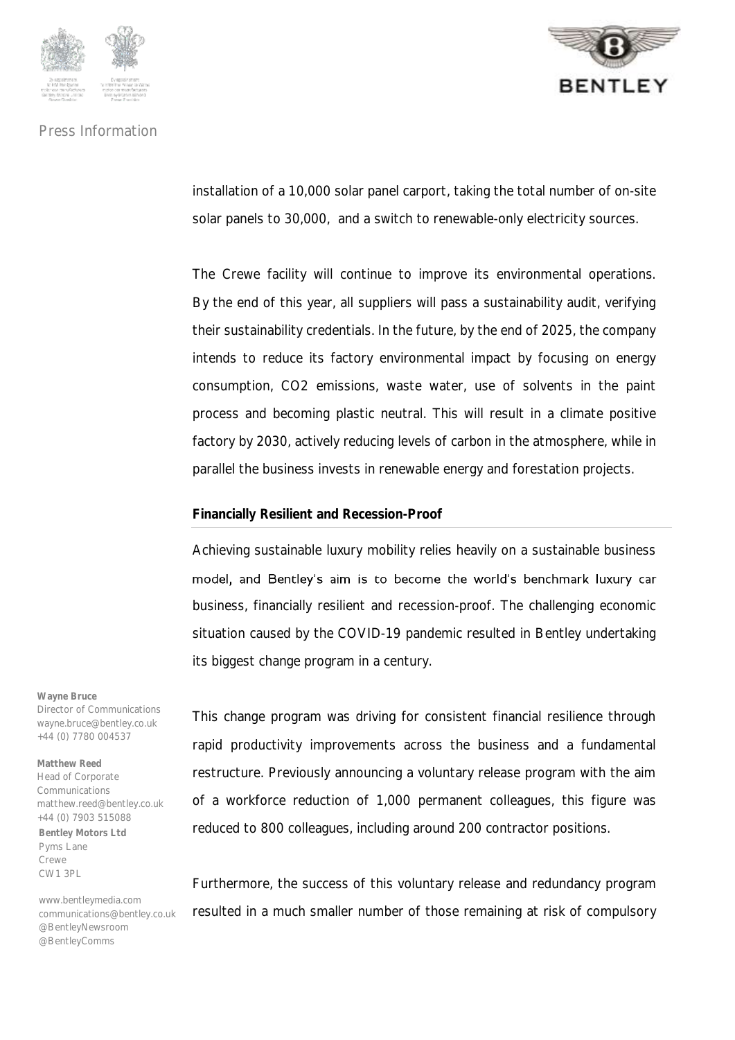



installation of a 10,000 solar panel carport, taking the total number of on-site solar panels to 30,000, and a switch to renewable-only electricity sources.

The Crewe facility will continue to improve its environmental operations. By the end of this year, all suppliers will pass a sustainability audit, verifying their sustainability credentials. In the future, by the end of 2025, the company intends to reduce its factory environmental impact by focusing on energy consumption, CO2 emissions, waste water, use of solvents in the paint process and becoming plastic neutral. This will result in a climate positive factory by 2030, actively reducing levels of carbon in the atmosphere, while in parallel the business invests in renewable energy and forestation projects.

#### **Financially Resilient and Recession-Proof**

Achieving sustainable luxury mobility relies heavily on a sustainable business model, and Bentley's aim is to become the world's benchmark luxury car business, financially resilient and recession-proof. The challenging economic situation caused by the COVID-19 pandemic resulted in Bentley undertaking its biggest change program in a century.

This change program was driving for consistent financial resilience through rapid productivity improvements across the business and a fundamental restructure. Previously announcing a voluntary release program with the aim of a workforce reduction of 1,000 permanent colleagues, this figure was reduced to 800 colleagues, including around 200 contractor positions.

Furthermore, the success of this voluntary release and redundancy program resulted in a much smaller number of those remaining at risk of compulsory

**Wayne Bruce** Director of Communications wayne.bruce@bentley.co.uk +44 (0) 7780 004537

**Bentley Motors Ltd** Pyms Lane Crewe CW1 3PL **Matthew Reed** Head of Corporate **Communications** matthew.reed@bentley.co.uk +44 (0) 7903 515088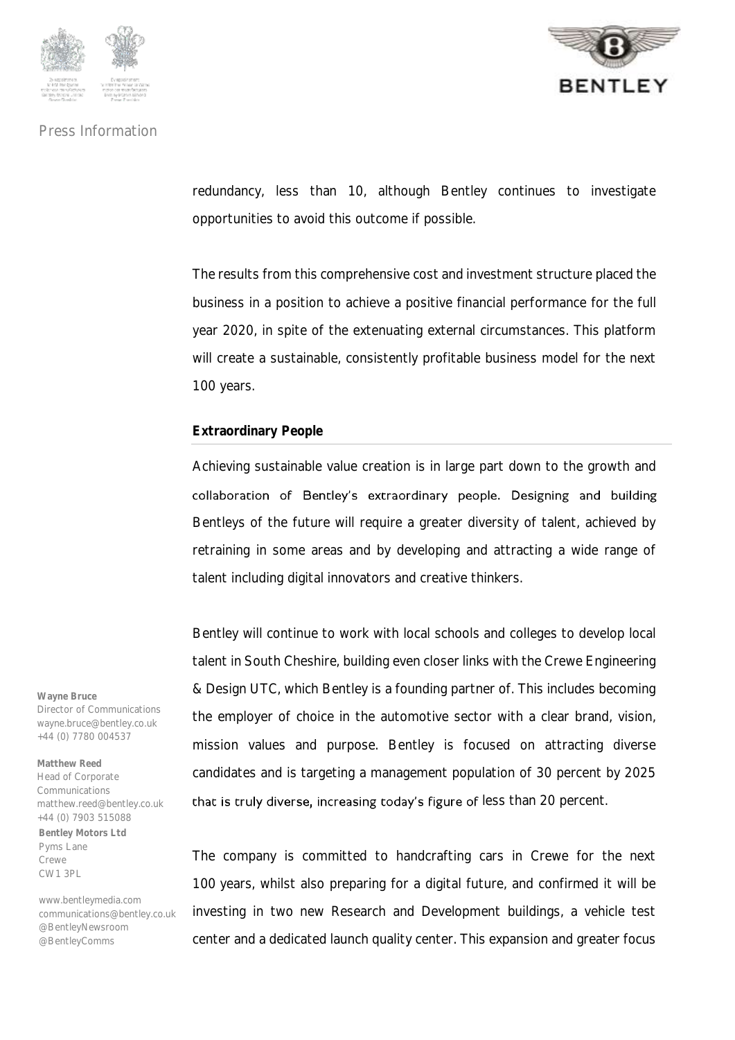



redundancy, less than 10, although Bentley continues to investigate opportunities to avoid this outcome if possible.

The results from this comprehensive cost and investment structure placed the business in a position to achieve a positive financial performance for the full year 2020, in spite of the extenuating external circumstances. This platform will create a sustainable, consistently profitable business model for the next 100 years.

## **Extraordinary People**

Achieving sustainable value creation is in large part down to the growth and collaboration of Bentley's extraordinary people. Designing and building Bentleys of the future will require a greater diversity of talent, achieved by retraining in some areas and by developing and attracting a wide range of talent including digital innovators and creative thinkers.

Bentley will continue to work with local schools and colleges to develop local talent in South Cheshire, building even closer links with the Crewe Engineering & Design UTC, which Bentley is a founding partner of. This includes becoming the employer of choice in the automotive sector with a clear brand, vision, mission values and purpose. Bentley is focused on attracting diverse candidates and is targeting a management population of 30 percent by 2025 that is truly diverse, increasing today's figure of less than 20 percent.

The company is committed to handcrafting cars in Crewe for the next 100 years, whilst also preparing for a digital future, and confirmed it will be investing in two new Research and Development buildings, a vehicle test center and a dedicated launch quality center. This expansion and greater focus

**Wayne Bruce** Director of Communications wayne.bruce@bentley.co.uk +44 (0) 7780 004537

**Bentley Motors Ltd** Pyms Lane Crewe CW1 3PL **Matthew Reed** Head of Corporate **Communications** matthew.reed@bentley.co.uk +44 (0) 7903 515088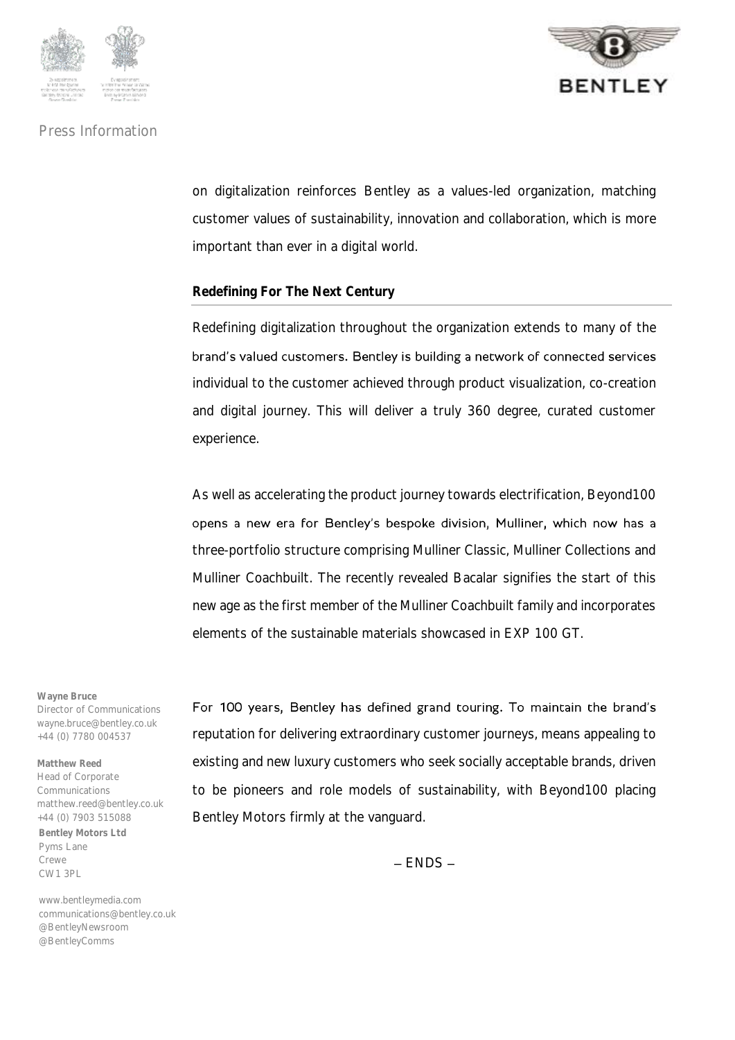



on digitalization reinforces Bentley as a values-led organization, matching customer values of sustainability, innovation and collaboration, which is more important than ever in a digital world.

## **Redefining For The Next Century**

Redefining digitalization throughout the organization extends to many of the brand's valued customers. Bentley is building a network of connected services individual to the customer achieved through product visualization, co-creation and digital journey. This will deliver a truly 360 degree, curated customer experience.

As well as accelerating the product journey towards electrification, Beyond100 opens a new era for Bentley's bespoke division, Mulliner, which now has a three-portfolio structure comprising Mulliner Classic, Mulliner Collections and Mulliner Coachbuilt. The recently revealed Bacalar signifies the start of this new age as the first member of the Mulliner Coachbuilt family and incorporates elements of the sustainable materials showcased in EXP 100 GT.

**Wayne Bruce** Director of Communications wayne.bruce@bentley.co.uk +44 (0) 7780 004537

**Bentley Motors Ltd** Pyms Lane Crewe CW1 3PL **Matthew Reed** Head of Corporate **Communications** matthew.reed@bentley.co.uk +44 (0) 7903 515088

www.bentleymedia.com communications@bentley.co.uk @BentleyNewsroom @BentleyComms

For 100 years, Bentley has defined grand touring. To maintain the brand's reputation for delivering extraordinary customer journeys, means appealing to existing and new luxury customers who seek socially acceptable brands, driven to be pioneers and role models of sustainability, with Beyond100 placing Bentley Motors firmly at the vanguard.

 $-$  FNDS  $-$